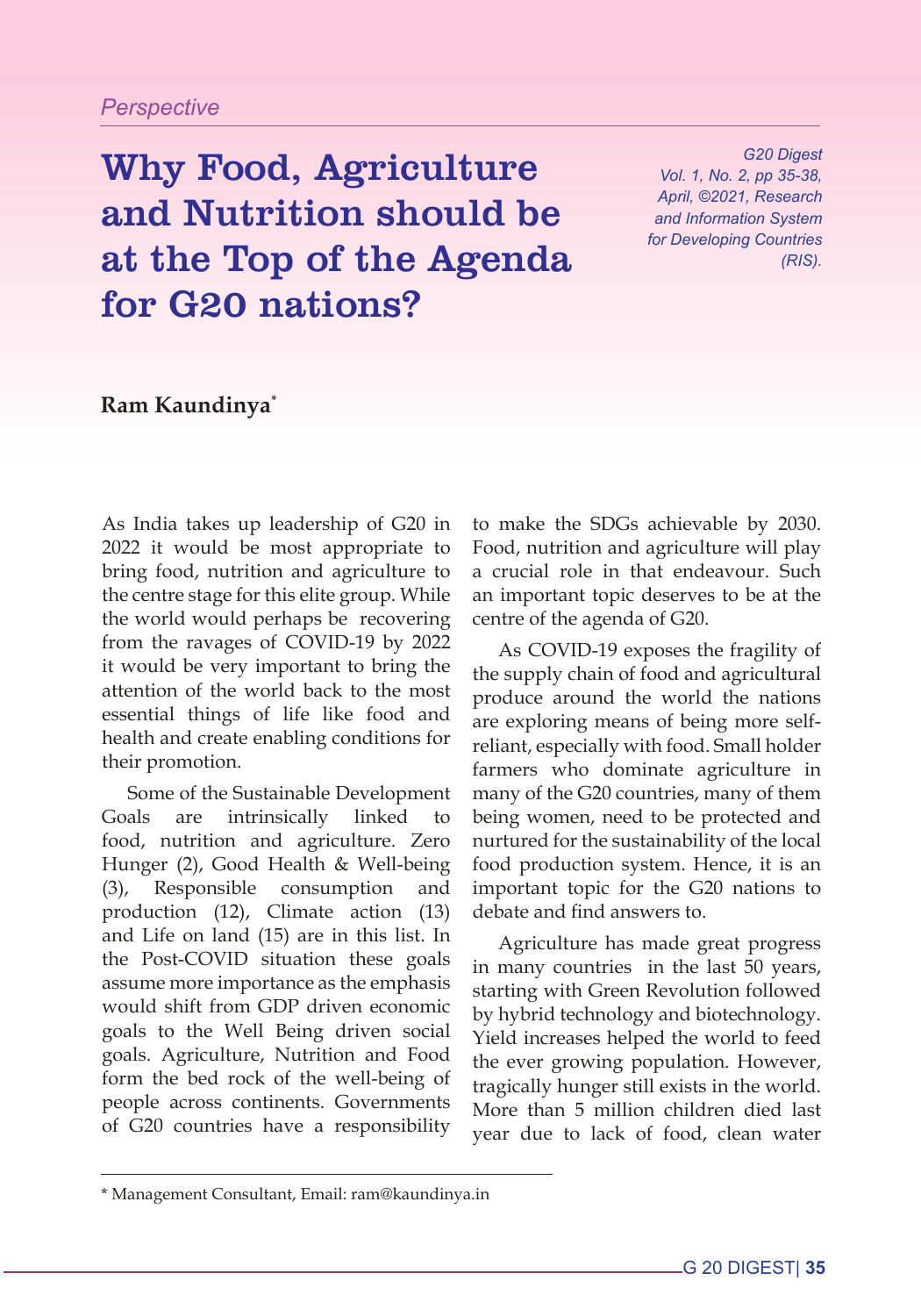## *Perspective*

Why Food, Agriculture and Nutrition should be at the Top of the Agenda for G20 nations?

*G20 Digest Vol. 1, No. 2, pp 35-38, April, ©2021, Research and Information System for Developing Countries (RIS).*

**Ram Kaundinya\***

As India takes up leadership of G20 in 2022 it would be most appropriate to bring food, nutrition and agriculture to the centre stage for this elite group. While the world would perhaps be recovering from the ravages of COVID-19 by 2022 it would be very important to bring the attention of the world back to the most essential things of life like food and health and create enabling conditions for their promotion.

Some of the Sustainable Development Goals are intrinsically linked to food, nutrition and agriculture. Zero Hunger (2), Good Health & Well-being (3), Responsible consumption and production (12), Climate action (13) and Life on land (15) are in this list. In the Post-COVID situation these goals assume more importance as the emphasis would shift from GDP driven economic goals to the Well Being driven social goals. Agriculture, Nutrition and Food form the bed rock of the well-being of people across continents. Governments of G20 countries have a responsibility to make the SDGs achievable by 2030. Food, nutrition and agriculture will play a crucial role in that endeavour. Such an important topic deserves to be at the centre of the agenda of G20.

As COVID-19 exposes the fragility of the supply chain of food and agricultural produce around the world the nations are exploring means of being more selfreliant, especially with food. Small holder farmers who dominate agriculture in many of the G20 countries, many of them being women, need to be protected and nurtured for the sustainability of the local food production system. Hence, it is an important topic for the G20 nations to debate and find answers to.

Agriculture has made great progress in many countries in the last 50 years, starting with Green Revolution followed by hybrid technology and biotechnology. Yield increases helped the world to feed the ever growing population. However, tragically hunger still exists in the world. More than 5 million children died last year due to lack of food, clean water

<sup>\*</sup> Management Consultant, Email: ram@kaundinya.in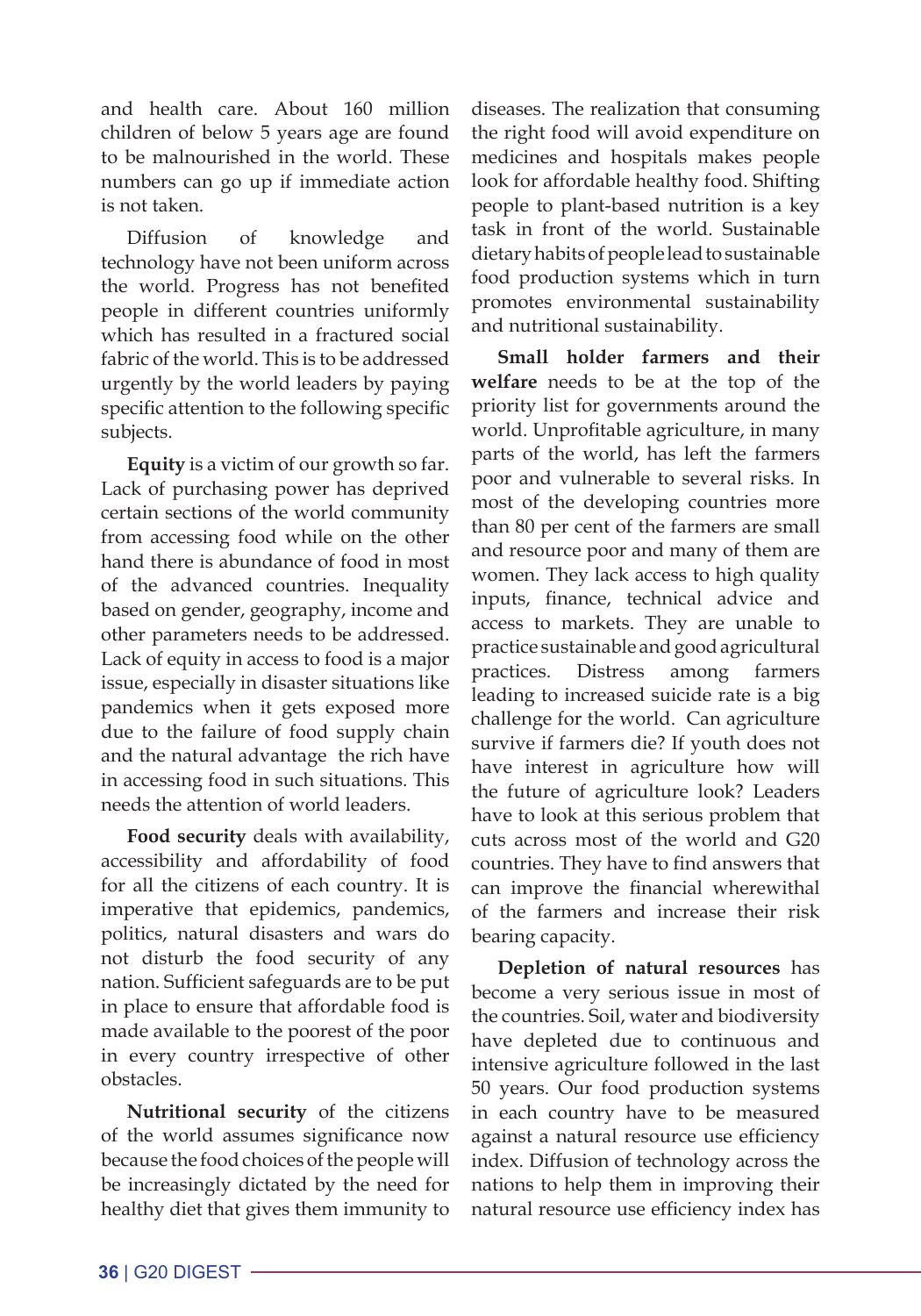and health care. About 160 million children of below 5 years age are found to be malnourished in the world. These numbers can go up if immediate action is not taken.

Diffusion of knowledge and technology have not been uniform across the world. Progress has not benefited people in different countries uniformly which has resulted in a fractured social fabric of the world. This is to be addressed urgently by the world leaders by paying specific attention to the following specific subjects.

**Equity** is a victim of our growth so far. Lack of purchasing power has deprived certain sections of the world community from accessing food while on the other hand there is abundance of food in most of the advanced countries. Inequality based on gender, geography, income and other parameters needs to be addressed. Lack of equity in access to food is a major issue, especially in disaster situations like pandemics when it gets exposed more due to the failure of food supply chain and the natural advantage the rich have in accessing food in such situations. This needs the attention of world leaders.

**Food security** deals with availability, accessibility and affordability of food for all the citizens of each country. It is imperative that epidemics, pandemics, politics, natural disasters and wars do not disturb the food security of any nation. Sufficient safeguards are to be put in place to ensure that affordable food is made available to the poorest of the poor in every country irrespective of other obstacles.

**Nutritional security** of the citizens of the world assumes significance now because the food choices of the people will be increasingly dictated by the need for healthy diet that gives them immunity to

diseases. The realization that consuming the right food will avoid expenditure on medicines and hospitals makes people look for affordable healthy food. Shifting people to plant-based nutrition is a key task in front of the world. Sustainable dietary habits of people lead to sustainable food production systems which in turn promotes environmental sustainability and nutritional sustainability.

**Small holder farmers and their welfare** needs to be at the top of the priority list for governments around the world. Unprofitable agriculture, in many parts of the world, has left the farmers poor and vulnerable to several risks. In most of the developing countries more than 80 per cent of the farmers are small and resource poor and many of them are women. They lack access to high quality inputs, finance, technical advice and access to markets. They are unable to practice sustainable and good agricultural practices. Distress among farmers leading to increased suicide rate is a big challenge for the world. Can agriculture survive if farmers die? If youth does not have interest in agriculture how will the future of agriculture look? Leaders have to look at this serious problem that cuts across most of the world and G20 countries. They have to find answers that can improve the financial wherewithal of the farmers and increase their risk bearing capacity.

**Depletion of natural resources** has become a very serious issue in most of the countries. Soil, water and biodiversity have depleted due to continuous and intensive agriculture followed in the last 50 years. Our food production systems in each country have to be measured against a natural resource use efficiency index. Diffusion of technology across the nations to help them in improving their natural resource use efficiency index has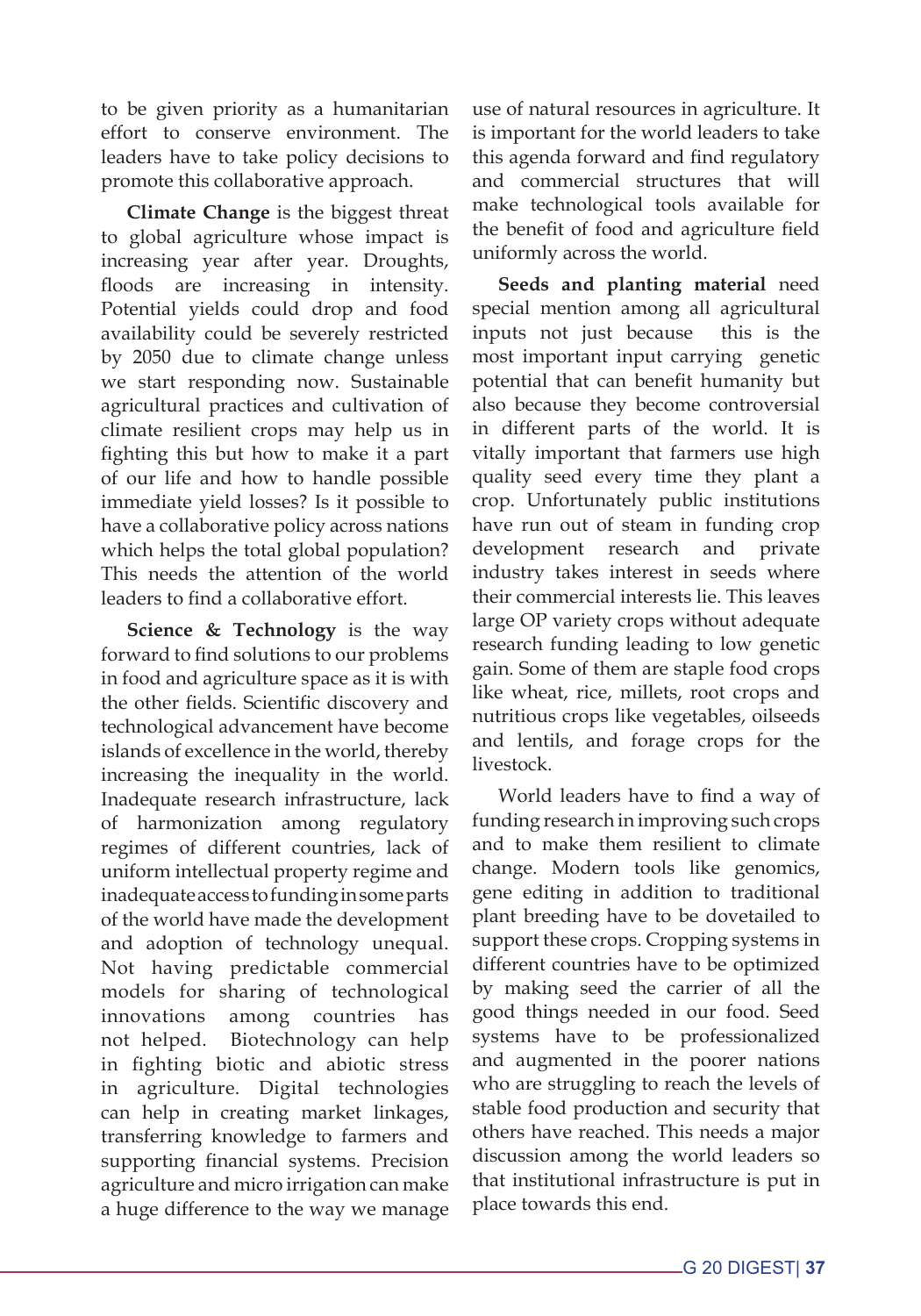to be given priority as a humanitarian effort to conserve environment. The leaders have to take policy decisions to promote this collaborative approach.

**Climate Change** is the biggest threat to global agriculture whose impact is increasing year after year. Droughts, floods are increasing in intensity. Potential yields could drop and food availability could be severely restricted by 2050 due to climate change unless we start responding now. Sustainable agricultural practices and cultivation of climate resilient crops may help us in fighting this but how to make it a part of our life and how to handle possible immediate yield losses? Is it possible to have a collaborative policy across nations which helps the total global population? This needs the attention of the world leaders to find a collaborative effort.

**Science & Technology** is the way forward to find solutions to our problems in food and agriculture space as it is with the other fields. Scientific discovery and technological advancement have become islands of excellence in the world, thereby increasing the inequality in the world. Inadequate research infrastructure, lack of harmonization among regulatory regimes of different countries, lack of uniform intellectual property regime and inadequate access to funding in some parts of the world have made the development and adoption of technology unequal. Not having predictable commercial models for sharing of technological innovations among countries has not helped. Biotechnology can help in fighting biotic and abiotic stress in agriculture. Digital technologies can help in creating market linkages, transferring knowledge to farmers and supporting financial systems. Precision agriculture and micro irrigation can make a huge difference to the way we manage use of natural resources in agriculture. It is important for the world leaders to take this agenda forward and find regulatory and commercial structures that will make technological tools available for the benefit of food and agriculture field uniformly across the world.

**Seeds and planting material** need special mention among all agricultural inputs not just because this is the most important input carrying genetic potential that can benefit humanity but also because they become controversial in different parts of the world. It is vitally important that farmers use high quality seed every time they plant a crop. Unfortunately public institutions have run out of steam in funding crop development research and private industry takes interest in seeds where their commercial interests lie. This leaves large OP variety crops without adequate research funding leading to low genetic gain. Some of them are staple food crops like wheat, rice, millets, root crops and nutritious crops like vegetables, oilseeds and lentils, and forage crops for the livestock.

World leaders have to find a way of funding research in improving such crops and to make them resilient to climate change. Modern tools like genomics, gene editing in addition to traditional plant breeding have to be dovetailed to support these crops. Cropping systems in different countries have to be optimized by making seed the carrier of all the good things needed in our food. Seed systems have to be professionalized and augmented in the poorer nations who are struggling to reach the levels of stable food production and security that others have reached. This needs a major discussion among the world leaders so that institutional infrastructure is put in place towards this end.